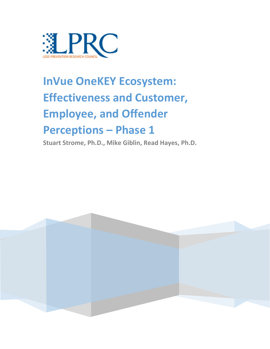

# **InVue OneKEY Ecosystem: Effectiveness and Customer, Employee, and Offender Perceptions – Phase 1**

**Stuart Strome, Ph.D., Mike Giblin, Read Hayes, Ph.D.**

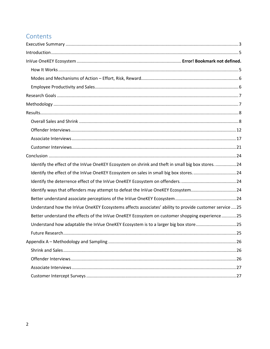# Contents

| Identify the effect of the InVue OneKEY Ecosystem on shrink and theft in small big box stores. 24      |
|--------------------------------------------------------------------------------------------------------|
| Identify the effect of the InVue OneKEY Ecosystem on sales in small big box stores24                   |
|                                                                                                        |
| Identify ways that offenders may attempt to defeat the InVue OneKEY Ecosystem24                        |
|                                                                                                        |
| Understand how the InVue OneKEY Ecosystems affects associates' ability to provide customer service  25 |
| Better understand the effects of the InVue OneKEY Ecosystem on customer shopping experience25          |
| Understand how adaptable the InVue OneKEY Ecosystem is to a larger big box store25                     |
|                                                                                                        |
|                                                                                                        |
|                                                                                                        |
|                                                                                                        |
|                                                                                                        |
|                                                                                                        |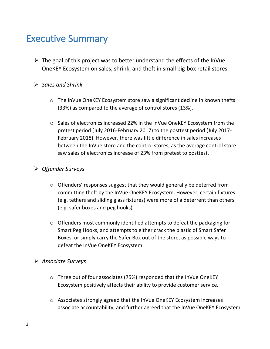# <span id="page-2-0"></span>Executive Summary

- $\triangleright$  The goal of this project was to better understand the effects of the InVue OneKEY Ecosystem on sales, shrink, and theft in small big-box retail stores.
- ➢ *Sales and Shrink*
	- o The InVue OneKEY Ecosystem store saw a significant decline in known thefts (33%) as compared to the average of control stores (13%).
	- o Sales of electronics increased 22% in the InVue OneKEY Ecosystem from the pretest period (July 2016-February 2017) to the posttest period (July 2017- February 2018). However, there was little difference in sales increases between the InVue store and the control stores, as the average control store saw sales of electronics increase of 23% from pretest to posttest.

# ➢ *Offender Surveys*

- o Offenders' responses suggest that they would generally be deterred from committing theft by the InVue OneKEY Ecosystem. However, certain fixtures (e.g. tethers and sliding glass fixtures) were more of a deterrent than others (e.g. safer boxes and peg hooks).
- o Offenders most commonly identified attempts to defeat the packaging for Smart Peg Hooks, and attempts to either crack the plastic of Smart Safer Boxes, or simply carry the Safer Box out of the store, as possible ways to defeat the InVue OneKEY Ecosystem.

# ➢ *Associate Surveys*

- o Three out of four associates (75%) responded that the InVue OneKEY Ecosystem positively affects their ability to provide customer service.
- o Associates strongly agreed that the InVue OneKEY Ecosystem increases associate accountability, and further agreed that the InVue OneKEY Ecosystem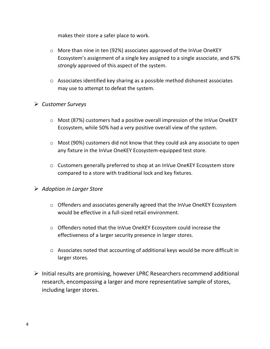makes their store a safer place to work.

- o More than nine in ten (92%) associates approved of the InVue OneKEY Ecosystem's assignment of a single key assigned to a single associate, and 67% *strongly* approved of this aspect of the system.
- o Associates identified key sharing as a possible method dishonest associates may use to attempt to defeat the system.

# ➢ *Customer Surveys*

- o Most (87%) customers had a positive overall impression of the InVue OneKEY Ecosystem, while 50% had a *very* positive overall view of the system.
- o Most (90%) customers did not know that they could ask any associate to open any fixture in the InVue OneKEY Ecosystem-equipped test store.
- o Customers generally preferred to shop at an InVue OneKEY Ecosystem store compared to a store with traditional lock and key fixtures.

# ➢ *Adoption in Larger Store*

- o Offenders and associates generally agreed that the InVue OneKEY Ecosystem would be effective in a full-sized retail environment.
- o Offenders noted that the InVue OneKEY Ecosystem could increase the effectiveness of a larger security presence in larger stores.
- o Associates noted that accounting of additional keys would be more difficult in larger stores.
- ➢ Initial results are promising, however LPRC Researchers recommend additional research, encompassing a larger and more representative sample of stores, including larger stores.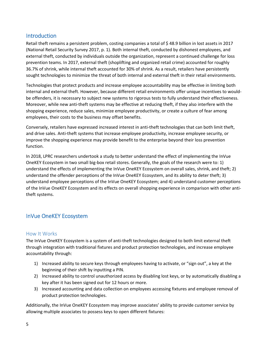# <span id="page-4-0"></span>Introduction

Retail theft remains a persistent problem, costing companies a total of \$ 48.9 billion in lost assets in 2017 (National Retail Security Survey 2017, p. 1). Both internal theft, conducted by dishonest employees, and external theft, conducted by individuals outside the organization, represent a continued challenge for loss prevention teams. In 2017, external theft (shoplifting and organized retail crime) accounted for roughly 36.7% of shrink, while internal theft accounted for 30% of shrink. As a result, retailers have persistently sought technologies to minimize the threat of both internal and external theft in their retail environments.

Technologies that protect products and increase employee accountability may be effective in limiting both internal and external theft. However, because different retail environments offer unique incentives to wouldbe offenders, it is necessary to subject new systems to rigorous tests to fully understand their effectiveness. Moreover, while new anti-theft systems may be effective at reducing theft, if they also interfere with the shopping experience, reduce sales, minimize employee productivity, or create a culture of fear among employees, their costs to the business may offset benefits.

Conversely, retailers have expressed increased interest in anti-theft technologies that can both limit theft, and drive sales. Anti-theft systems that increase employee productivity, increase employee security, or improve the shopping experience may provide benefit to the enterprise beyond their loss prevention function.

In 2018, LPRC researchers undertook a study to better understand the effect of implementing the InVue OneKEY Ecosystem in two small big-box retail stores. Generally, the goals of the research were to: 1) understand the effects of implementing the InVue OneKEY Ecosystem on overall sales, shrink, and theft; 2) understand the offender perceptions of the InVue OneKEY Ecosystem, and its ability to deter theft; 3) understand employee perceptions of the InVue OneKEY Ecosystem; and 4) understand customer perceptions of the InVue OneKEY Ecosystem and its effects on overall shopping experience in comparison with other antitheft systems.

# InVue OneKEY Ecosystem

#### <span id="page-4-1"></span>How It Works

The InVue OneKEY Ecosystem is a system of anti-theft technologies designed to both limit external theft through integration with traditional fixtures and product protection technologies, and increase employee accountability through:

- 1) Increased ability to secure keys through employees having to activate, or "sign out", a key at the beginning of their shift by inputting a PIN.
- 2) Increased ability to control unauthorized access by disabling lost keys, or by automatically disabling a key after it has been signed out for 12 hours or more.
- 3) Increased accounting and data collection on employees accessing fixtures and employee removal of product protection technologies.

Additionally, the InVue OneKEY Ecosystem may improve associates' ability to provide customer service by allowing multiple associates to possess keys to open different fixtures: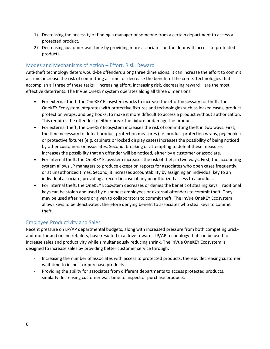- 1) Decreasing the necessity of finding a manager or someone from a certain department to access a protected product.
- 2) Decreasing customer wait time by providing more associates on the floor with access to protected products.

# <span id="page-5-0"></span>Modes and Mechanisms of Action – Effort, Risk, Reward

Anti-theft technology deters would-be offenders along three dimensions: it can increase the effort to commit a crime, increase the risk of committing a crime, or decrease the benefit of the crime. Technologies that accomplish all three of these tasks – increasing effort, increasing risk, decreasing reward – are the most effective deterrents. The InVue OneKEY system operates along all three dimensions:

- For external theft, the OneKEY Ecosystem works to increase the effort necessary for theft. The OneKEY Ecosystem integrates with protective fixtures and technologies such as locked cases, product protection wraps, and peg hooks, to make it more difficult to access a product without authorization. This requires the offender to either break the fixture or damage the product.
- For external theft, the OneKEY Ecosystem increases the risk of committing theft in two ways. First, the time necessary to defeat product protection measures (i.e. product protection wraps, peg hooks) or protective fixtures (e.g. cabinets or locked display cases) increases the possibility of being noticed by other customers or associates. Second, breaking or attempting to defeat these measures increases the possibility that an offender will be noticed, either by a customer or associate.
- For internal theft, the OneKEY Ecosystem increases the risk of theft in two ways. First, the accounting system allows LP managers to produce exception reports for associates who open cases frequently, or at unauthorized times. Second, it increases accountability by assigning an individual key to an individual associate, providing a record in case of any unauthorized access to a product.
- For internal theft, the OneKEY Ecosystem decreases or denies the benefit of stealing keys. Traditional keys can be stolen and used by dishonest employees or external offenders to commit theft. They may be used after hours or given to collaborators to commit theft. The InVue OneKEY Ecosystem allows keys to be deactivated, therefore denying benefit to associates who steal keys to commit theft.

#### <span id="page-5-1"></span>Employee Productivity and Sales

Recent pressure on LP/AP departmental budgets, along with increased pressure from both competing brickand-mortar and online retailers, have resulted in a drive towards LP/AP technology that can be used to increase sales and productivity while simultaneously reducing shrink. The InVue OneKEY Ecosystem is designed to increase sales by providing better customer service through:

- Increasing the number of associates with access to protected products, thereby decreasing customer wait time to inspect or purchase products.
- Providing the ability for associates from different departments to access protected products, similarly decreasing customer wait time to inspect or purchase products.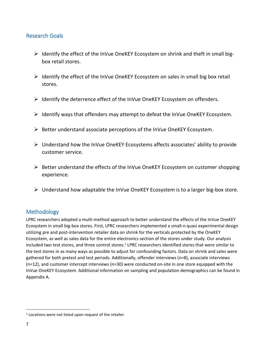# <span id="page-6-0"></span>Research Goals

- ➢ Identify the effect of the InVue OneKEY Ecosystem on shrink and theft in small bigbox retail stores.
- ➢ Identify the effect of the InVue OneKEY Ecosystem on sales in small big box retail stores.
- ➢ Identify the deterrence effect of the InVue OneKEY Ecosystem on offenders.
- $\triangleright$  Identify ways that offenders may attempt to defeat the InVue OneKEY Ecosystem.
- ➢ Better understand associate perceptions of the InVue OneKEY Ecosystem.
- ➢ Understand how the InVue OneKEY Ecosystems affects associates' ability to provide customer service.
- ➢ Better understand the effects of the InVue OneKEY Ecosystem on customer shopping experience.
- $\triangleright$  Understand how adaptable the InVue OneKEY Ecosystem is to a larger big-box store.

# <span id="page-6-1"></span>**Methodology**

LPRC researchers adopted a multi-method approach to better understand the effects of the InVue OneKEY Ecosystem in small big-box stores. First, LPRC researchers implemented a small-n quasi experimental design utilizing pre and post-intervention retailer data on shrink for the verticals protected by the OneKEY Ecosystem, as well as sales data for the entire electronics section of the stores under study. Our analysis included two test stores, and three control stores.<sup>1</sup> LPRC researchers identified stores that were similar to the test stores in as many ways as possible to adjust for confounding factors. Data on shrink and sales were gathered for both pretest and test periods. Additionally, offender interviews (n=8), associate interviews (n=12), and customer intercept interviews (n=30) were conducted on-site in one store equipped with the InVue OneKEY Ecosystem. Additional information on sampling and population demographics can be found in Appendix A.

 $\ddot{\phantom{a}}$ 

 $1$  Locations were not listed upon request of the retailer.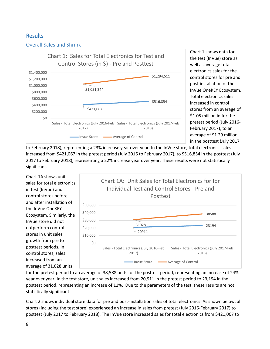# <span id="page-7-0"></span>Results

<span id="page-7-1"></span>Overall Sales and Shrink



Chart 1 shows data for the test (InVue) store as well as average total electronics sales for the control stores for pre and post installation of the InVue OneKEY Ecosystem. Total electronics sales increased in control stores from an average of \$1.05 million in for the pretest period (July 2016- February 2017), to an average of \$1.29 million in the posttest (July 2017

to February 2018), representing a 23% increase year over year. In the InVue store, total electronics sales increased from \$421,067 in the pretest period (July 2016 to February 2017), to \$516,854 in the posttest (July 2017 to February 2018), representing a 22% increase year over year. These results were not statistically significant.

Chart 1A shows unit sales for total electronics in test (InVue) and control stores before and after installation of the InVue OneKEY Ecosystem. Similarly, the InVue store did not outperform control stores in unit sales growth from pre to posttest periods. In control stores, sales increased from an average of 31,028 units



for the pretest period to an average of 38,588 units for the posttest period, representing an increase of 24% year over year. In the test store, unit sales increased from 20,911 in the pretest period to 23,194 in the posttest period, representing an increase of 11%. Due to the parameters of the test, these results are not statistically significant.

Chart 2 shows individual store data for pre and post-installation sales of total electronics. As shown below, all stores (including the test store) experienced an increase in sales from pretest (July 2016-February 2017) to posttest (July 2017 to February 2018). The InVue store increased sales for total electronics from \$421,067 to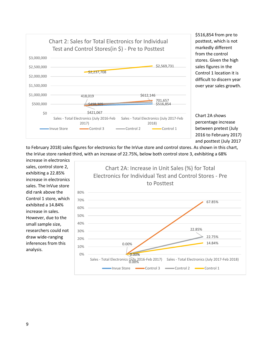

\$516,854 from pre to posttest, which is not markedly different from the control stores. Given the high sales figures in the Control 1 location it is difficult to discern year over year sales growth.

Chart 2A shows percentage increase between pretest (July 2016 to February 2017) and posttest (July 2017

to February 2018) sales figures for electronics for the InVue store and control stores. As shown in this chart, the InVue store ranked third, with an increase of 22.75%, below both control store 3, exhibiting a 68%

increase in electronics sales, control store 2, exhibiting a 22.85% increase in electronics sales. The InVue store did rank above the Control 1 store, which exhibited a 14.84% increase in sales. However, due to the small sample size, researchers could not draw wide-ranging inferences from this analysis.

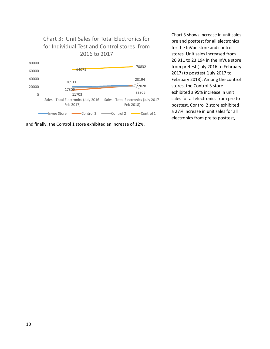

and finally, the Control 1 store exhibited an increase of 12%.

Chart 3 shows increase in unit sales pre and posttest for all electronics for the InVue store and control stores. Unit sales increased from 20,911 to 23,194 in the InVue store from pretest (July 2016 to February 2017) to posttest (July 2017 to February 2018). Among the control stores, the Control 3 store exhibited a 95% increase in unit sales for all electronics from pre to posttest, Control 2 store exhibited a 27% increase in unit sales for all electronics from pre to posttest,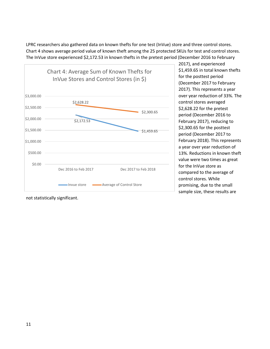LPRC researchers also gathered data on known thefts for one test (InVue) store and three control stores. Chart 4 shows average period value of known theft among the 25 protected SKUs for test and control stores. The InVue store experienced \$2,172.53 in known thefts in the pretest period (December 2016 to February



2017), and experienced \$1,459.65 in total known thefts for the posttest period (December 2017 to February 2017). This represents a year over year reduction of 33%. The control stores averaged \$2,628.22 for the pretest period (December 2016 to February 2017), reducing to \$2,300.65 for the posttest period (December 2017 to February 2018). This represents a year over year reduction of 13%. Reductions in known theft value were two times as great for the InVue store as compared to the average of control stores. While promising, due to the small sample size, these results are

not statistically significant.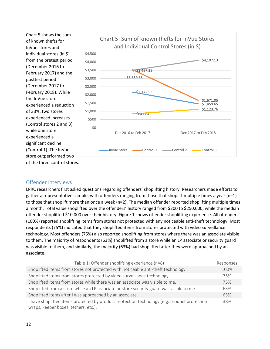Chart 5 shows the sum of known thefts for InVue stores and individual stores (in \$) from the pretest period (December 2016 to February 2017) and the posttest period (December 2017 to February 2018). While the InVue store experienced a reduction of 33%, two stores experienced increases (Control stores 2 and 3) while one store experienced a significant decline (Control 1). The InVue store outperformed two of the three control stores.



#### <span id="page-11-0"></span>Offender Interviews

LPRC researchers first asked questions regarding offenders' shoplifting history. Researchers made efforts to gather a representative sample, with offenders ranging from those that shoplift multiple times a year (n=1) to those that shoplift more than once a week (n=2). The median offender reported shoplifting multiple times a month. Total value shoplifted over the offenders' history ranged from \$200 to \$250,000, while the median offender shoplifted \$10,000 over their history. Figure 1 shows offender shoplifting experience. All offenders (100%) reported shoplifting items from stores not protected with any noticeable anti-theft technology. Most respondents (75%) indicated that they shoplifted items from stores protected with video surveillance technology. Most offenders (75%) also reported shoplifting from stores where there was an associate visible to them. The majority of respondents (63%) shoplifted from a store while an LP associate or security guard was visible to them, and similarly, the majority (63%) had shoplifted after they were approached by an associate.

| Table 1: Offender shoplifting experience (n=8)                                                                                      | Responses |
|-------------------------------------------------------------------------------------------------------------------------------------|-----------|
| Shoplifted items from stores not protected with noticeable anti-theft technology.                                                   | 100%      |
| Shoplifted items from stores protected by video surveillance technology.                                                            | 75%       |
| Shoplifted items from stores while there was an associate was visible to me.                                                        | 75%       |
| Shoplifted from a store while an LP associate or store security guard was visible to me.                                            | 63%       |
| Shoplifted items after I was approached by an associate.                                                                            | 63%       |
| I have shoplifted items protected by product protection technology (e.g. product protection<br>wraps, keeper boxes, tethers, etc.). | 38%       |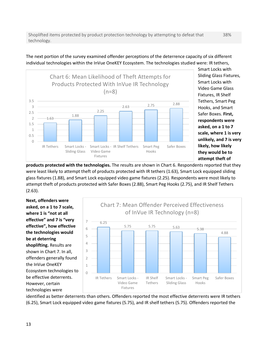Shoplifted items protected by product protection technology by attempting to defeat that technology.

1.63 1.88 2.25 2.63 2.75 2.88 0 0.5 1 1.5 2 2.5 3 3.5 IR Tethers Smart Locks - Sliding Glass Smart Locks - IR Shelf Tethers Smart Peg Video Game Fixtures Hooks Safer Boxes Chart 6: Mean Likelihood of Theft Attempts for Products Protected With InVue IR Technology  $(n=8)$ 

Smart Locks with Sliding Glass Fixtures, Smart Locks with Video Game Glass Fixtures, IR Shelf Tethers, Smart Peg Hooks, and Smart Safer Boxes. **First, respondents were asked, on a 1 to 7 scale, where 1 is very unlikely, and 7 is very likely, how likely they would be to attempt theft of** 

**products protected with the technologies.** The results are shown in Chart 6. Respondents reported that they were least likely to attempt theft of products protected with IR tethers (1.63), Smart Lock equipped sliding glass fixtures (1.88), and Smart Lock equipped video game fixtures (2.25). Respondents were most likely to attempt theft of products protected with Safer Boxes (2.88), Smart Peg Hooks (2.75), and IR Shelf Tethers (2.63).

**Next, offenders were asked, on a 1 to 7 scale, where 1 is "not at all effective" and 7 is "very effective", how effective the technologies would be at deterring shoplifting.** Results are shown in Chart 7. In all, offenders generally found the InVue OneKEY Ecosystem technologies to be effective deterrents. However, certain technologies were



identified as better deterrents than others. Offenders reported the most effective deterrents were IR tethers (6.25), Smart Lock equipped video game fixtures (5.75), and IR shelf tethers (5.75). Offenders reported the

# The next portion of the survey examined offender perceptions of the deterrence capacity of six different individual technologies within the InVue OneKEY Ecosystem. The technologies studied were: IR tethers,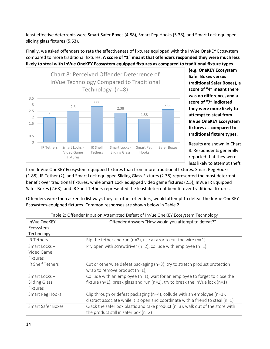least effective deterrents were Smart Safer Boxes (4.88), Smart Peg Hooks (5.38), and Smart Lock equipped sliding glass fixtures (5.63).

Finally, we asked offenders to rate the effectiveness of fixtures equipped with the InVue OneKEY Ecosystem compared to more traditional fixtures. **A score of "1" meant that offenders responded they were much less likely to steal with InVue OneKEY Ecosystem equipped fixtures as compared to traditional fixture types** 



**(e.g. OneKEY Ecosystem Safer Boxes versus traditional Safer Boxes), a score of "4" meant there was no difference, and a score of "7" indicated they were more likely to attempt to steal from InVue OneKEY Ecosystem fixtures as compared to traditional fixture types.**

Results are shown in Chart 8. Respondents generally reported that they were less likely to attempt theft

from InVue OneKEY Ecosystem-equipped fixtures than from more traditional fixtures. Smart Peg Hooks (1.88), IR Tether (2), and Smart Lock equipped Sliding Glass Fixtures (2.38) represented the most deterrent benefit over traditional fixtures, while Smart Lock equipped video game fixtures (2.5), InVue IR Equipped Safer Boxes (2.63), and IR Shelf Tethers represented the least deterrent benefit over traditional fixtures.

Offenders were then asked to list ways they, or other offenders, would attempt to defeat the InVue OneKEY Ecosystem-equipped fixtures. Common responses are shown below in Table 2.

| Table 2: Offender Input on Attempted Defeat of InVue OneKEY Ecosystem Technology |                                                                                     |
|----------------------------------------------------------------------------------|-------------------------------------------------------------------------------------|
| <b>InVue OneKEY</b>                                                              | Offender Answers "How would you attempt to defeat?"                                 |
| Ecosystem                                                                        |                                                                                     |
| Technology                                                                       |                                                                                     |
| <b>IR Tethers</b>                                                                | Rip the tether and run (n=2), use a razor to cut the wire (n=1)                     |
| Smart Locks-                                                                     | Pry open with screwdriver ( $n=2$ ), collude with employee ( $n=1$ )                |
| Video Game                                                                       |                                                                                     |
| Fixtures                                                                         |                                                                                     |
| <b>IR Shelf Tethers</b>                                                          | Cut or otherwise defeat packaging (n=3), try to stretch product protection          |
|                                                                                  | wrap to remove product $(n=1)$ ,                                                    |
| Smart Locks-                                                                     | Collude with an employee ( $n=1$ ), wait for an employee to forget to close the     |
| <b>Sliding Glass</b>                                                             | fixture (n=1), break glass and run (n=1), try to break the InVue lock (n=1)         |
| Fixtures                                                                         |                                                                                     |
| Smart Peg Hooks                                                                  | Clip through or defeat packaging ( $n=4$ ), collude with an employee ( $n=1$ ),     |
|                                                                                  | distract associate while it is open and coordinate with a friend to steal ( $n=1$ ) |
| <b>Smart Safer Boxes</b>                                                         | Crack the safer box plastic and take product ( $n=3$ ), walk out of the store with  |
|                                                                                  | the product still in safer box $(n=2)$                                              |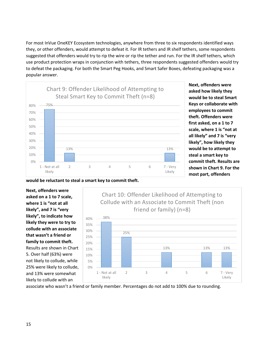For most InVue OneKEY Ecosystem technologies, anywhere from three to six respondents identified ways they, or other offenders, would attempt to defeat it. For IR tethers and IR shelf tethers, some respondents suggested that offenders would try to rip the wire or rip the tether and run. For the IR shelf tethers, which use product protection wraps in conjunction with tethers, three respondents suggested offenders would try to defeat the packaging. For both the Smart Peg Hooks, and Smart Safer Boxes, defeating packaging was a popular answer.



**Next, offenders were asked how likely they would be to steal Smart Keys or collaborate with employees to commit theft. Offenders were first asked, on a 1 to 7 scale, where 1 is "not at all likely" and 7 is "very likely", how likely they would be to attempt to steal a smart key to commit theft. Results are shown in Chart 9. For the most part, offenders** 

**would be reluctant to steal a smart key to commit theft.**

**Next, offenders were asked on a 1 to 7 scale, where 1 is "not at all likely", and 7 is "very likely", to indicate how likely they were to try to collude with an associate that wasn't a friend or family to commit theft.** Results are shown in Chart 5. Over half (63%) were not likely to collude, while 25% were likely to collude, and 13% were somewhat likely to collude with an



associate who wasn't a friend or family member. Percentages do not add to 100% due to rounding.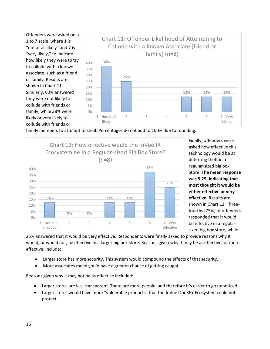Offenders were asked on a 1 to 7 scale, where 1 is "not at all likely" and 7 is "very likely," to indicate how likely they were to try to collude with a known associate, such as a friend or family. Results are shown in Chart 11. Similarly, 63% answered they were not likely to collude with friends or family, while 38% were likely or very likely to collude with friends or



family members to attempt to steal. Percentages do not add to 100% due to rounding.



Finally, offenders were asked how effective this technology would be at deterring theft in a regular-sized big box Store. **The mean response was 5.25, indicating that most thought it would be either effective or very effective.** Results are shown in Chart 12. Threefourths (75%) of offenders responded that it would be effective in a regularsized big box store, while

25% answered that it would be very effective. Respondents were finally asked to provide reasons why it would, or would not, be effective in a larger big box store. Reasons given why it may be as effective, or more effective, include:

- Larger store has more security. This system would compound the effects of that security.
- More associates mean you'd have a greater chance of getting caught.

Reasons given why it may not be as effective included:

- Larger stores are less transparent. There are more people, and therefore it's easier to go unnoticed.
- Larger stores would have more "vulnerable products" that the InVue OneKEY Ecosystem could not protect.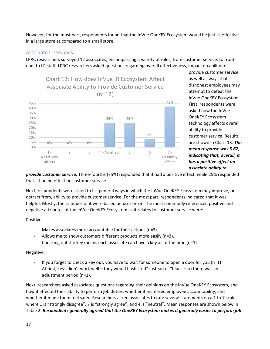However, for the most part, respondents found that the InVue OneKEY Ecosystem would be just as effective in a large store as compared to a small store.

#### <span id="page-16-0"></span>Associate Interviews

LPRC researchers surveyed 12 associates, encompassing a variety of roles, from customer service, to frontend, to LP staff. LPRC researchers asked questions regarding overall effectiveness, impact on ability to



provide customer service, as well as ways that dishonest employees may attempt to defeat the InVue OneKEY Ecosystem. First, respondents were asked how the InVue OneKEY Ecosystem technology affects overall ability to provide customer service. Results are shown in Chart 13. *The mean response was 5.67, indicating that, overall, it has a positive effect on associate ability to* 

*provide customer service.* Three-fourths (75%) responded that it had a positive effect, while 25% responded that it had no effect on customer service.

Next, respondents were asked to list general ways in which the InVue OneKEY Ecosystem may improve, or detract from, ability to provide customer service. For the most part, respondents indicated that it was helpful. Mostly, the critiques of it were based on user error. The most commonly referenced positive and negative attributes of the InVue OneKEY Ecosystem as it relates to customer service were:

Positive:

- Makes associates more accountable for their actions ( $n=3$ ).
- Allows me to show customers different products more easily (n=3).
- Checking out the key means each associate can have a key all of the time (n=1)

#### Negative:

- If you forget to check a key out, you have to wait for someone to open a door for you ( $n=1$ )
- At first, keys didn't work well they would flash "red" instead of "blue" so there was an adjustment period (n=1).

Next, researchers asked associates questions regarding their opinions on the InVue OneKEY Ecosystem, and how it affected their ability to perform job duties, whether it increased employee accountability, and whether it made them feel safer. Researchers asked associates to rate several statements on a 1 to 7 scale, where 1 is "strongly disagree", 7 is "strongly agree", and 4 is "neutral". Mean responses are shown below in Table 2. *Respondents generally agreed that the OneKEY Ecosystem makes it generally easier to perform job*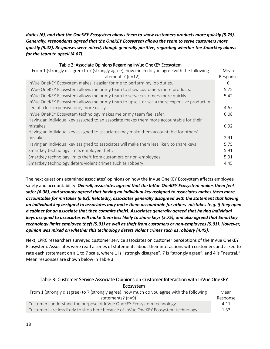#### *duties (6), and that the OneKEY Ecosystem allows them to show customers products more quickly (5.75). Generally, respondents agreed that the OneKEY Ecosystem allows the team to serve customers more quickly (5.42). Responses were mixed, though generally positive, regarding whether the Smartkey allows for the team to upsell (4.67).*

#### Table 2: Associate Opinions Regarding InVue OneKEY Ecosystem

| From 1 (strongly disagree) to 7 (strongly agree), how much do you agree with the following<br>statements? $(n=12)$ | Mean<br>Response |
|--------------------------------------------------------------------------------------------------------------------|------------------|
| InVue OneKEY Ecosystem makes it easier for me to perform my job duties.                                            | 6                |
| InVue OneKEY Ecosystem allows me or my team to show customers more products.                                       | 5.75             |
| InVue OneKEY Ecosystem allows me or my team to serve customers more quickly.                                       | 5.42             |
| InVue OneKEY Ecosystem allows me or my team to upsell, or sell a more expensive product in                         |                  |
| lieu of a less expensive one, more easily.                                                                         | 4.67             |
| InVue OneKEY Ecosystem technology makes me or my team feel safer.                                                  | 6.08             |
| Having an individual key assigned to an associate makes them more accountable for their                            |                  |
| mistakes.                                                                                                          | 6.92             |
| Having an individual key assigned to associates may make them accountable for others'                              |                  |
| mistakes.                                                                                                          | 2.91             |
| Having an individual key assigned to associates will make them less likely to share keys.                          | 5.75             |
| Smartkey technology limits employee theft.                                                                         | 5.91             |
| Smartkey technology limits theft from customers or non-employees.                                                  | 5.91             |
| Smartkey technology deters violent crimes such as robbery.                                                         | 4.45             |

The next questions examined associates' opinions on how the InVue OneKEY Ecosystem affects employee safety and accountability. *Overall, associates agreed that the InVue OneKEY Ecosystem makes them feel safer (6.08), and strongly agreed that having an individual key assigned to associates makes them more accountable for mistakes (6.92). Relatedly, associates generally disagreed with the statement that having an individual key assigned to associates may make them accountable for others' mistakes (e.g. if they open a cabinet for an associate that then commits theft). Associates generally agreed that having individual keys assigned to associates will make them less likely to share keys (5.75), and also agreed that Smartkey technology limits employee theft (5.91) as well as theft from customers or non-employees (5.91). However, opinion was mixed on whether this technology deters violent crimes such as robbery (4.45).*

Next, LPRC researchers surveyed customer service associates on customer perceptions of the InVue OneKEY Ecosystem. Associates were read a series of statements about their interactions with customers and asked to rate each statement on a 1 to 7 scale, where 1 is "strongly disagree", 7 is "strongly agree", and 4 is "neutral." Mean responses are shown below in Table 3.

#### Table 3: Customer Service Associate Opinions on Customer Interaction with InVue OneKEY Ecosystem

| From 1 (strongly disagree) to 7 (strongly agree), how much do you agree with the following | Mean     |
|--------------------------------------------------------------------------------------------|----------|
| statements? (n=9)                                                                          | Response |
| Customers understand the purpose of InVue OneKEY Ecosystem technology                      | 4.11     |
| Customers are less likely to shop here because of InVue OneKEY Ecosystem technology        | 1.33     |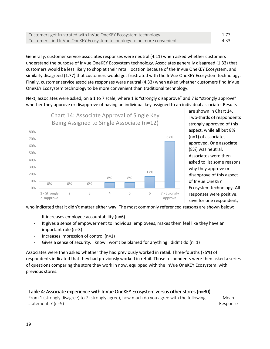| Customers get frustrated with InVue OneKEY Ecosystem technology        | 1.77 |
|------------------------------------------------------------------------|------|
| Customers find InVue OneKEY Ecosystem technology to be more convenient | 4.33 |

Generally, customer service associates responses were neutral (4.11) when asked whether customers understand the purpose of InVue OneKEY Ecosystem technology. Associates generally disagreed (1.33) that customers would be less likely to shop at their retail location because of the InVue OneKEY Ecosystem, and similarly disagreed (1.77) that customers would get frustrated with the InVue OneKEY Ecosystem technology. Finally, customer service associate responses were neutral (4.33) when asked whether customers find InVue OneKEY Ecosystem technology to be more convenient than traditional technology.

Next, associates were asked, on a 1 to 7 scale, where 1 is "strongly disapprove" and 7 is "strongly approve" whether they approve or disapprove of having an individual key assigned to an individual associate. Results



are shown in Chart 14. Two-thirds of respondents strongly approved of this aspect, while all but 8% (n=1) of associates approved. One associate (8%) was neutral. Associates were then asked to list some reasons why they approve or disapprove of this aspect of InVue OneKEY Ecosystem technology. All responses were positive, save for one respondent,

who indicated that it didn't matter either way. The most commonly referenced reasons are shown below:

- It increases employee accountability (n=6)
- It gives a sense of empowerment to individual employees, makes them feel like they have an important role (n=3)
- Increases impression of control (n=1)
- Gives a sense of security. I know I won't be blamed for anything I didn't do  $(n=1)$

Associates were then asked whether they had previously worked in retail. Three-fourths (75%) of respondents indicated that they had previously worked in retail. Those respondents were then asked a series of questions comparing the store they work in now, equipped with the InVue OneKEY Ecosystem, with previous stores.

#### Table 4: Associate experience with InVue OneKEY Ecosystem versus other stores (n=30)

From 1 (strongly disagree) to 7 (strongly agree), how much do you agree with the following statements? (n=9)

Mean Response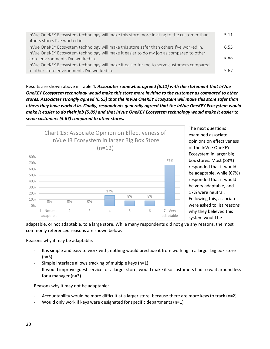| InVue OneKEY Ecosystem technology will make this store more inviting to the customer than | 5.11 |
|-------------------------------------------------------------------------------------------|------|
| others stores I've worked in.                                                             |      |
| InVue OneKEY Ecosystem technology will make this store safer than others I've worked in.  | 655  |
| InVue OneKEY Ecosystem technology will make it easier to do my job as compared to other   |      |
| store environments I've worked in.                                                        | 5.89 |
| InVue OneKEY Ecosystem technology will make it easier for me to serve customers compared  |      |
| to other store environments I've worked in.                                               | 5.67 |

Results are shown above in Table 4*. Associates somewhat agreed (5.11) with the statement that InVue OneKEY Ecosystem technology would make this store more inviting to the customer as compared to other stores. Associates strongly agreed (6.55) that the InVue OneKEY Ecosystem will make this store safer than others they have worked in. Finally, respondents generally agreed that the InVue OneKEY Ecosystem would make it easier to do their job (5.89) and that InVue OneKEY Ecosystem technology would make it easier to serve customers (5.67) compared to other stores.* 



The next questions examined associate opinions on effectiveness of the InVue OneKEY Ecosystem in larger big box stores. Most (83%) responded that it would be adaptable, while (67%) responded that it would be very adaptable, and 17% were neutral. Following this, associates were asked to list reasons why they believed this system would be

adaptable, or not adaptable, to a large store. While many respondents did not give any reasons, the most commonly referenced reasons are shown below:

Reasons why it may be adaptable:

- It is simple and easy to work with; nothing would preclude it from working in a larger big box store  $(n=3)$
- Simple interface allows tracking of multiple keys (n=1)
- It would improve guest service for a larger store; would make it so customers had to wait around less for a manager (n=3)

Reasons why it may not be adaptable:

- Accountability would be more difficult at a larger store, because there are more keys to track (n=2)
- Would only work if keys were designated for specific departments ( $n=1$ )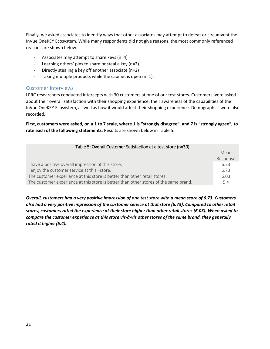Finally, we asked associates to identify ways that other associates may attempt to defeat or circumvent the InVue OneKEY Ecosystem. While many respondents did not give reasons, the most commonly referenced reasons are shown below:

- Associates may attempt to share keys (n=4)
- Learning others' pins to share or steal a key (n=2)
- Directly stealing a key off another associate (n=2)
- Taking multiple products while the cabinet is open (n=1).

#### <span id="page-20-0"></span>Customer Interviews

LPRC researchers conducted intercepts with 30 customers at one of our test stores. Customers were asked about their overall satisfaction with their shopping experience, their awareness of the capabilities of the InVue OneKEY Ecosystem, as well as how it would affect their shopping experience. Demographics were also recorded.

**First, customers were asked, on a 1 to 7 scale, where 1 is "strongly disagree", and 7 is "strongly agree", to rate each of the following statements**. Results are shown below in Table 5.

| Table 5: Overall Customer Satisfaction at a test store (n=30)                        |          |
|--------------------------------------------------------------------------------------|----------|
|                                                                                      | Mean     |
|                                                                                      | Response |
| I have a positive overall impression of this store.                                  | 6.73     |
| I enjoy the customer service at this =store.                                         | 6.73     |
| The customer experience at this store is better than other retail stores.            | 6.03     |
| The customer experience at this store is better than other stores of the same brand. | 5.4      |

*Overall, customers had a very positive impression of one test store with a mean score of 6.73. Customers also had a very positive impression of the customer service at that store (6.73). Compared to other retail stores, customers rated the experience at their store higher than other retail stores (6.03). When asked to compare the customer experience at this store vis-à-vis other stores of the same brand, they generally rated it higher (5.4).*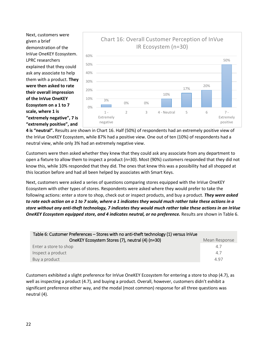Next, customers were given a brief demonstration of the InVue OneKEY Ecosystem. LPRC researchers explained that they could ask any associate to help them with a product. **They were then asked to rate their overall impression of the InVue OneKEY Ecosystem on a 1 to 7 scale, where 1 is "extremely negative", 7 is "extremely positive", and** 



**4 is "neutral".** Results are shown in Chart 16. Half (50%) of respondents had an extremely positive view of the InVue OneKEY Ecosystem, while 87% had a positive view. One out of ten (10%) of respondents had a neutral view, while only 3% had an extremely negative view.

Customers were then asked whether they knew that they could ask any associate from any department to open a fixture to allow them to inspect a product (n=30). Most (90%) customers responded that they did not know this, while 10% responded that they did. The ones that knew this was a possibility had all shopped at this location before and had all been helped by associates with Smart Keys.

Next, customers were asked a series of questions comparing stores equipped with the InVue OneKEY Ecosystem with other types of stores. Respondents were asked where they would prefer to take the following actions: enter a store to shop, check out or inspect products, and buy a product. *They were asked to rate each action on a 1 to 7 scale, where a 1 indicates they would much rather take these actions in a store without any anti-theft technology, 7 indicates they would much rather take these actions in an InVue OneKEY Ecosystem equipped store, and 4 indicates neutral, or no preference.* Results are shown in Table 6.

| Table 6: Customer Preferences – Stores with no anti-theft technology (1) versus InVue |               |
|---------------------------------------------------------------------------------------|---------------|
| OneKEY Ecosystem Stores (7), neutral (4) (n=30)                                       | Mean Response |
| Enter a store to shop                                                                 | 47            |
| Inspect a product                                                                     | 47            |
| Buy a product                                                                         | 497           |

Customers exhibited a slight preference for InVue OneKEY Ecosystem for entering a store to shop (4.7), as well as inspecting a product (4.7), and buying a product. Overall, however, customers didn't exhibit a significant preference either way, and the modal (most common) response for all three questions was neutral (4).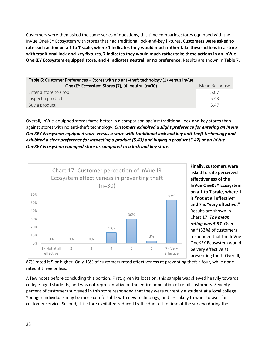Customers were then asked the same series of questions, this time comparing stores equipped with the InVue OneKEY Ecosystem with stores that had traditional lock-and-key fixtures. **Customers were asked to rate each action on a 1 to 7 scale, where 1 indicates they would much rather take these actions in a store with traditional lock-and-key fixtures, 7 indicates they would much rather take these actions in an InVue OneKEY Ecosystem equipped store, and 4 indicates neutral, or no preference.** Results are shown in Table 7.

| Table 6: Customer Preferences – Stores with no anti-theft technology (1) versus InVue |               |
|---------------------------------------------------------------------------------------|---------------|
| OneKEY Ecosystem Stores (7), (4) neutral (n=30)                                       | Mean Response |
| Enter a store to shop                                                                 | 5.07          |
| Inspect a product                                                                     | 5.43          |
| Buy a product                                                                         | 5.47          |

Overall, InVue-equipped stores fared better in a comparison against traditional lock-and-key stores than against stores with no anti-theft technology. *Customers exhibited a slight preference for entering an InVue OneKEY Ecosystem-equipped store versus a store with traditional lock and key anti-theft technology and exhibited a clear preference for inspecting a product (5.43) and buying a product (5.47) at an InVue OneKEY Ecosystem equipped store as compared to a lock and key store.* 



**Finally, customers were asked to rate perceived effectiveness of the InVue OneKEY Ecosystem on a 1 to 7 scale, where 1 is "not at all effective", and 7 is "very effective."** Results are shown in Chart 17. *The mean rating was 5.97.* Over half (53%) of customers responded that the InVue OneKEY Ecosystem would be very effective at preventing theft. Overall,

87% rated it 5 or higher. Only 13% of customers rated effectiveness at preventing theft a four, while none rated it three or less.

A few notes before concluding this portion. First, given its location, this sample was skewed heavily towards college-aged students, and was not representative of the entire population of retail customers. Seventy percent of customers surveyed in this store responded that they were currently a student at a local college. Younger individuals may be more comfortable with new technology, and less likely to want to wait for customer service. Second, this store exhibited reduced traffic due to the time of the survey (during the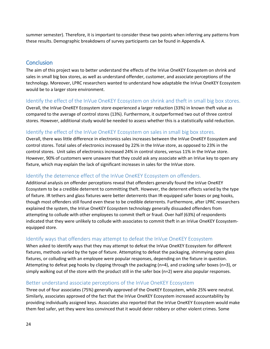summer semester). Therefore, it is important to consider these two points when inferring any patterns from these results. Demographic breakdowns of survey participants can be found in Appendix A.

# <span id="page-23-0"></span>**Conclusion**

The aim of this project was to better understand the effects of the InVue OneKEY Ecosystem on shrink and sales in small big box stores, as well as understand offender, customer, and associate perceptions of the technology. Moreover, LPRC researchers wanted to understand how adaptable the InVue OneKEY Ecosystem would be to a larger store environment.

#### <span id="page-23-1"></span>Identify the effect of the InVue OneKEY Ecosystem on shrink and theft in small big box stores.

Overall, the InVue OneKEY Ecosystem store experienced a larger reduction (33%) in known theft value as compared to the average of control stores (13%). Furthermore, it outperformed two out of three control stores. However, additional study would be needed to assess whether this is a statistically valid reduction.

#### <span id="page-23-2"></span>Identify the effect of the InVue OneKEY Ecosystem on sales in small big box stores.

Overall, there was little difference in electronics sales increases between the InVue OneKEY Ecosystem and control stores. Total sales of electronics increased by 22% in the InVue store, as opposed to 23% in the control stores. Unit sales of electronics increased 24% in control stores, versus 11% in the InVue store. However, 90% of customers were unaware that they could ask any associate with an InVue key to open any fixture, which may explain the lack of significant increases in sales for the InVue store.

#### <span id="page-23-3"></span>Identify the deterrence effect of the InVue OneKEY Ecosystem on offenders.

Additional analysis on offender perceptions reveal that offenders generally found the InVue OneKEY Ecosystem to be a credible deterrent to committing theft. However, the deterrent effects varied by the type of fixture. IR tethers and glass fixtures were better deterrents than IR-equipped safer boxes or peg hooks, though most offenders still found even these to be credible deterrents. Furthermore, after LPRC researchers explained the system, the InVue OneKEY Ecosystem technology generally dissuaded offenders from attempting to collude with other employees to commit theft or fraud. Over half (63%) of respondents indicated that they were unlikely to collude with associates to commit theft in an InVue OneKEY Ecosystemequipped store.

# <span id="page-23-4"></span>Identify ways that offenders may attempt to defeat the InVue OneKEY Ecosystem

When asked to identify ways that they may attempt to defeat the InVue OneKEY Ecosystem for different fixtures, methods varied by the type of fixture. Attempting to defeat the packaging, shimmying open glass fixtures, or colluding with an employee were popular responses, depending on the fixture in question. Attempting to defeat peg hooks by clipping through the packaging (n=4), and cracking safer boxes (n=3), or simply walking out of the store with the product still in the safer box (n=2) were also popular responses.

#### <span id="page-23-5"></span>Better understand associate perceptions of the InVue OneKEY Ecosystem

Three out of four associates (75%) generally approved of the OneKEY Ecosystem, while 25% were neutral. Similarly, associates approved of the fact that the InVue OneKEY Ecosystem increased accountability by providing individually assigned keys. Associates also reported that the InVue OneKEY Ecosystem would make them feel safer, yet they were less convinced that it would deter robbery or other violent crimes. Some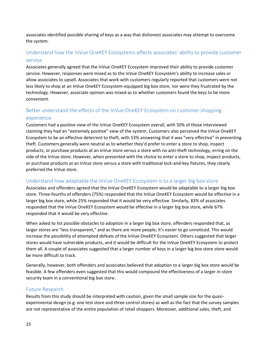associates identified possible sharing of keys as a way that dishonest associates may attempt to overcome the system.

# <span id="page-24-0"></span>Understand how the InVue OneKEY Ecosystems affects associates' ability to provide customer service

Associates generally agreed that the InVue OneKEY Ecosystem improved their ability to provide customer service. However, responses were mixed as to the InVue OneKEY Ecosystem's ability to increase sales or allow associates to upsell. Associates that work with customers regularly reported that customers were not less likely to shop at an InVue OneKEY Ecosystem-equipped big box store, nor were they frustrated by the technology. However, associate opinion was mixed as to whether customers found the keys to be more convenient.

# <span id="page-24-1"></span>Better understand the effects of the InVue OneKEY Ecosystem on customer shopping experience

Customers had a positive view of the InVue OneKEY Ecosystem overall, with 50% of those interviewed claiming they had an "extremely positive" view of the system. Customers also perceived the InVue OneKEY Ecosystem to be an effective deterrent to theft, with 53% answering that it was "very effective" in preventing theft. Customers generally were neutral as to whether they'd prefer to enter a store to shop, inspect products, or purchase products at an InVue store versus a store with no anti-theft technology, erring on the side of the InVue store. However, when presented with the choice to enter a store to shop, inspect products, or purchase products at an InVue store versus a store with traditional lock-and-key fixtures, they clearly preferred the InVue store.

# <span id="page-24-2"></span>Understand how adaptable the InVue OneKEY Ecosystem is to a larger big box store

Associates and offenders agreed that the InVue OneKEY Ecosystem would be adaptable to a larger big box store. Three-fourths of offenders (75%) responded that the InVue OneKEY Ecosystem would be effective in a larger big box store, while 25% responded that it would be very effective. Similarly, 83% of associates responded that the InVue OneKEY Ecosystem would be effective in a larger big box store, while 67% responded that it would be very effective.

When asked to list possible obstacles to adoption in a larger big box store, offenders responded that, as larger stores are "less transparent," and as there are more people, it's easier to go unnoticed. This would increase the possibility of attempted defeats of the InVue OneKEY Ecosystem. Others suggested that larger stores would have vulnerable products, and it would be difficult for the InVue OneKEY Ecosystem to protect them all. A couple of associates suggested that a larger number of keys in a larger big box store store would be more difficult to track.

Generally, however, both offenders and associates believed that adoption to a larger big box store would be feasible. A few offenders even suggested that this would compound the effectiveness of a larger in-store security team in a conventional big box store.

#### <span id="page-24-3"></span>Future Research

Results from this study should be interpreted with caution, given the small sample size for the quasiexperimental design (e.g. one test store and three control stores) as well as the fact that the survey samples are not representative of the entire population of retail shoppers. Moreover, additional sales, theft, and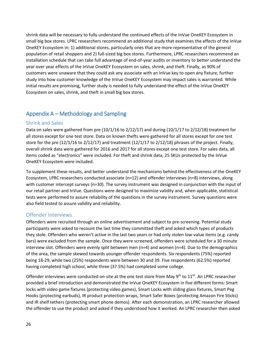shrink data will be necessary to fully understand the continued effects of the InVue OneKEY Ecosystem in small big box stores. LPRC researchers recommend an additional study that examines the effects of the InVue OneKEY Ecosystem in: 1) additional stores, particularly ones that are more representative of the general population of retail shoppers and 2) full-sized big box stores. Furthermore, LPRC researchers recommend an installation schedule that can take full advantage of end-of-year audits or inventory to better understand the year over year effects of the InVue OneKEY Ecosystem on sales, shrink, and theft. Finally, as 90% of customers were unaware that they could ask any associate with an InVue key to open any fixture, further study into how customer knowledge of the InVue OneKEY Ecosystem may impact sales is warranted. While initial results are promising, further study is needed to fully understand the effect of the InVue OneKEY Ecosystem on sales, shrink, and theft in small big box stores.

# <span id="page-25-0"></span>Appendix A – Methodology and Sampling

#### <span id="page-25-1"></span>Shrink and Sales

Data on sales were gathered from pre  $(10/1/16$  to  $2/12/17)$  and during  $(10/1/17$  to  $2/12/18)$  treatment for all stores except for one test store. Data on known thefts were gathered for all stores except for one test store for the pre (12/1/16 to 2/12/17) and treatment (12/1/17 to 2/12/18) phrases of the project. Finally, overall shrink data were gathered for 2016 and 2017 for all stores except one test store. For sales data, all items coded as "electronics" were included. For theft and shrink data, 25 SKUs protected by the InVue OneKEY Ecosystem were included.

To supplement these results, and better understand the mechanisms behind the effectiveness of the OneKEY Ecosystem, LPRC researchers conducted associate (n=12) and offender interviews (n=8) interviews, along with customer intercept surveys (n=30). The survey instrument was designed in conjunction with the input of our retail partner and InVue. Questions were designed to maximize validity and, when applicable, statistical tests were performed to assure reliability of the questions in the survey instrument. Survey questions were also field tested to assure validity and reliability.

#### <span id="page-25-2"></span>Offender Interviews

Offenders were recruited through an online advertisement and subject to pre-screening. Potential study participants were asked to recount the last time they committed theft and asked which types of products they stole. Offenders who weren't active in the last two years or had only stolen low-value items (e.g. candy bars) were excluded from the sample. Once they were screened, offenders were scheduled for a 30 minute interview slot. Offenders were evenly split between men (n=4) and women (n=4). Due to the demographics of the area, the sample skewed towards younger offender respondents. Six respondents (75%) reported being 18-29, while two (25%) respondents were between 30 and 39. Five respondents (62.5%) reported having completed high school, while three (37.5%) had completed some college.

Offender interviews were conducted on-site at the one test store from May 9<sup>th</sup> to 11<sup>th</sup>. An LPRC researcher provided a brief introduction and demonstrated the InVue OneKEY Ecosystem in five different forms: Smart locks with video game fixtures (protecting video games), Smart Locks with sliding glass fixtures, Smart Peg Hooks (protecting earbuds), IR product protection wraps, Smart Safer Boxes (protecting Amazon Fire Sticks) and IR shelf tethers (protecting smart phone demos). After each demonstration, an LPRC researcher allowed the offender to use the product and asked if they understood how it worked. An LPRC researcher then asked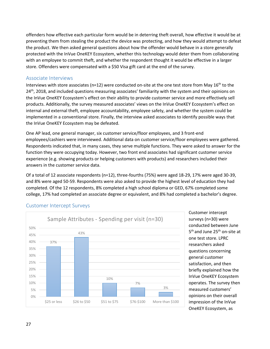offenders how effective each particular form would be in deterring theft overall, how effective it would be at preventing them from stealing the product the device was protecting, and how they would attempt to defeat the product. We then asked general questions about how the offender would behave in a store generally protected with the InVue OneKEY Ecosystem, whether this technology would deter them from collaborating with an employee to commit theft, and whether the respondent thought it would be effective in a larger store. Offenders were compensated with a \$50 Visa gift card at the end of the survey.

#### <span id="page-26-0"></span>Associate Interviews

Interviews with store associates ( $n=12$ ) were conducted on-site at the one test store from May 16<sup>th</sup> to the 24<sup>th</sup>, 2018, and included questions measuring associates' familiarity with the system and their opinions on the InVue OneKEY Ecosystem's effect on their ability to provide customer service and more effectively sell products. Additionally, the survey measured associates' views on the InVue OneKEY Ecosystem's effect on internal and external theft, employee accountability, employee safety, and whether the system could be implemented in a conventional store. Finally, the interview asked associates to identify possible ways that the InVue OneKEY Ecosystem may be defeated.

One AP lead, one general manager, six customer service/floor employees, and 3 front-end employees/cashiers were interviewed. Additional data on customer service/floor employees were gathered. Respondents indicated that, in many cases, they serve multiple functions. They were asked to answer for the function they were occupying today. However, two front end associates had significant customer service experience (e.g. showing products or helping customers with products) and researchers included their answers in the customer service data.

Of a total of 12 associate respondents (n=12), three-fourths (75%) were aged 18-29, 17% were aged 30-39, and 8% were aged 50-59. Respondents were also asked to provide the highest level of education they had completed. Of the 12 respondents, 8% completed a high school diploma or GED, 67% completed some college, 17% had completed an associate degree or equivalent, and 8% had completed a bachelor's degree.



#### <span id="page-26-1"></span>Customer Intercept Surveys

Customer intercept surveys (n=30) were conducted between June 5<sup>th</sup> and June 25<sup>th</sup> on-site at one test store. LPRC researchers asked questions concerning general customer satisfaction, and then briefly explained how the InVue OneKEY Ecosystem operates. The survey then measured customers' opinions on their overall impression of the InVue OneKEY Ecosystem, as